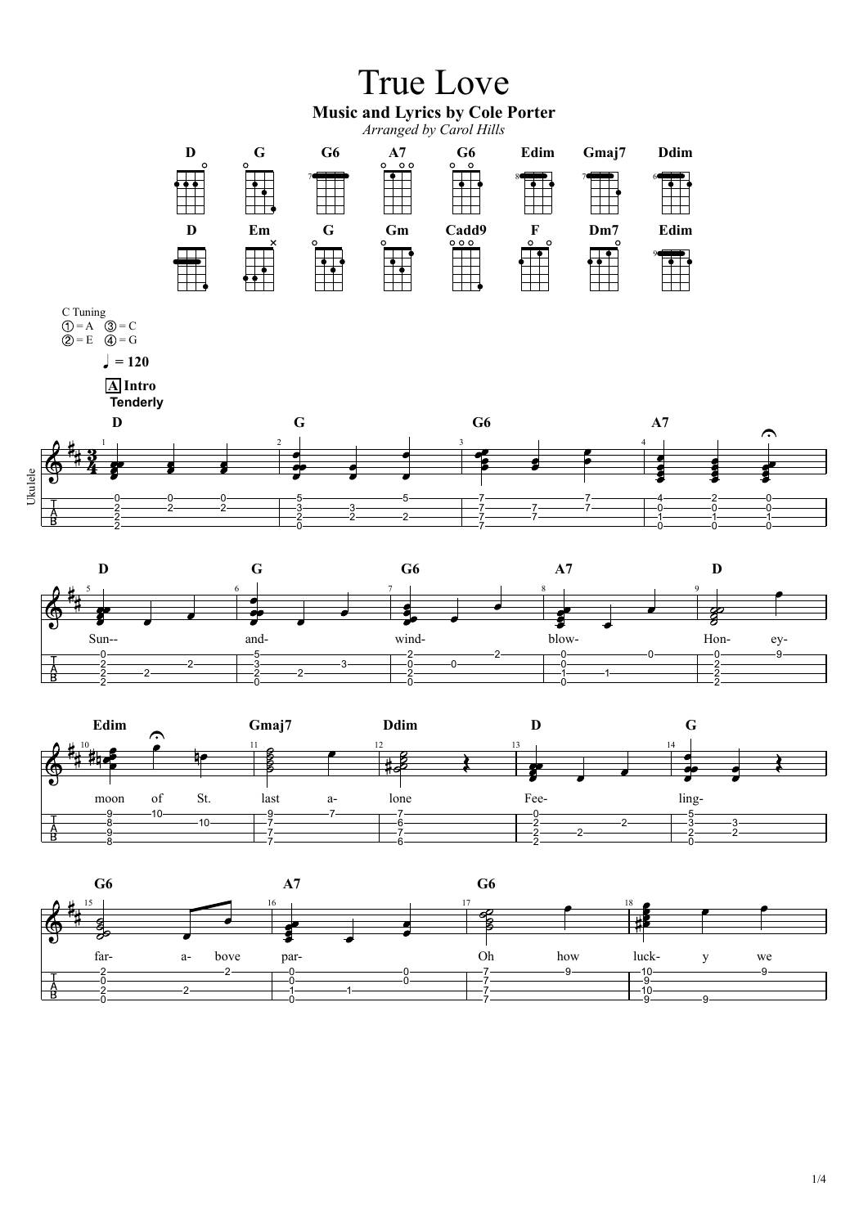



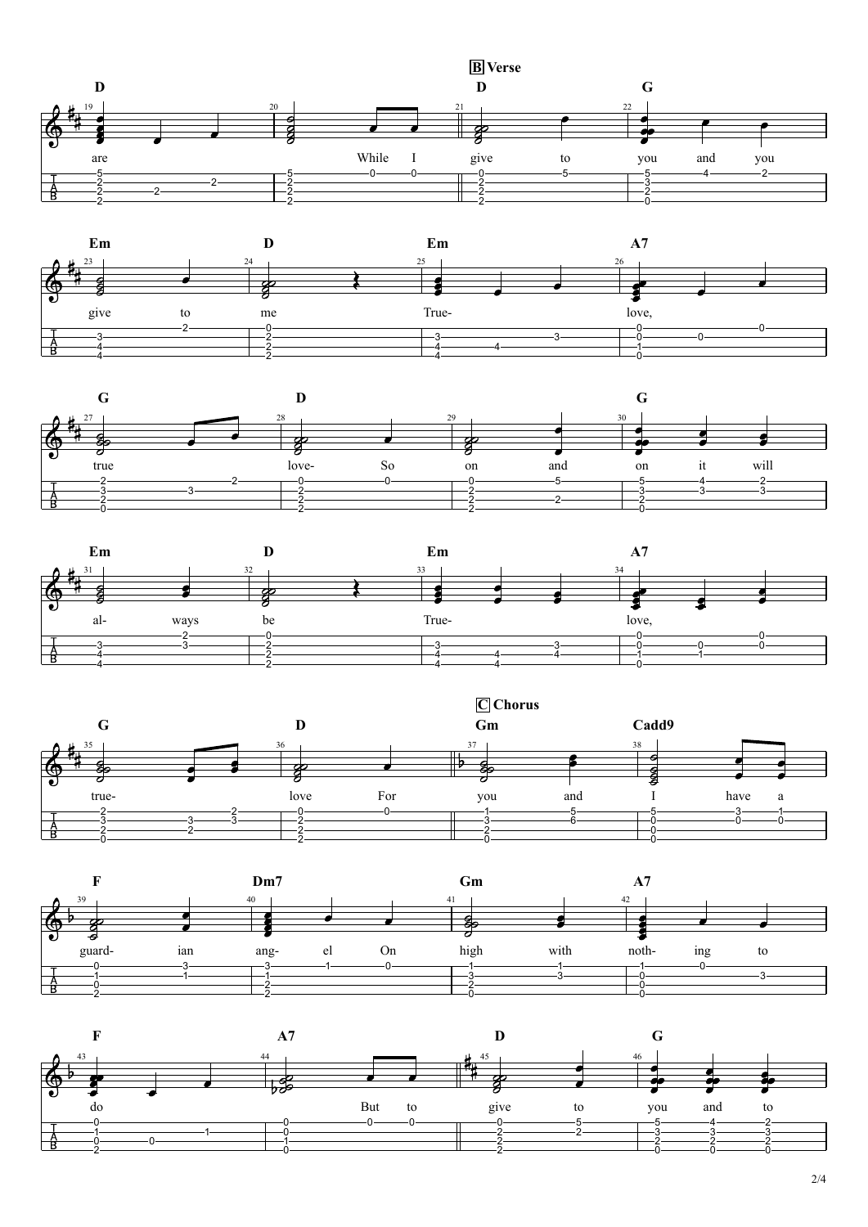2/4











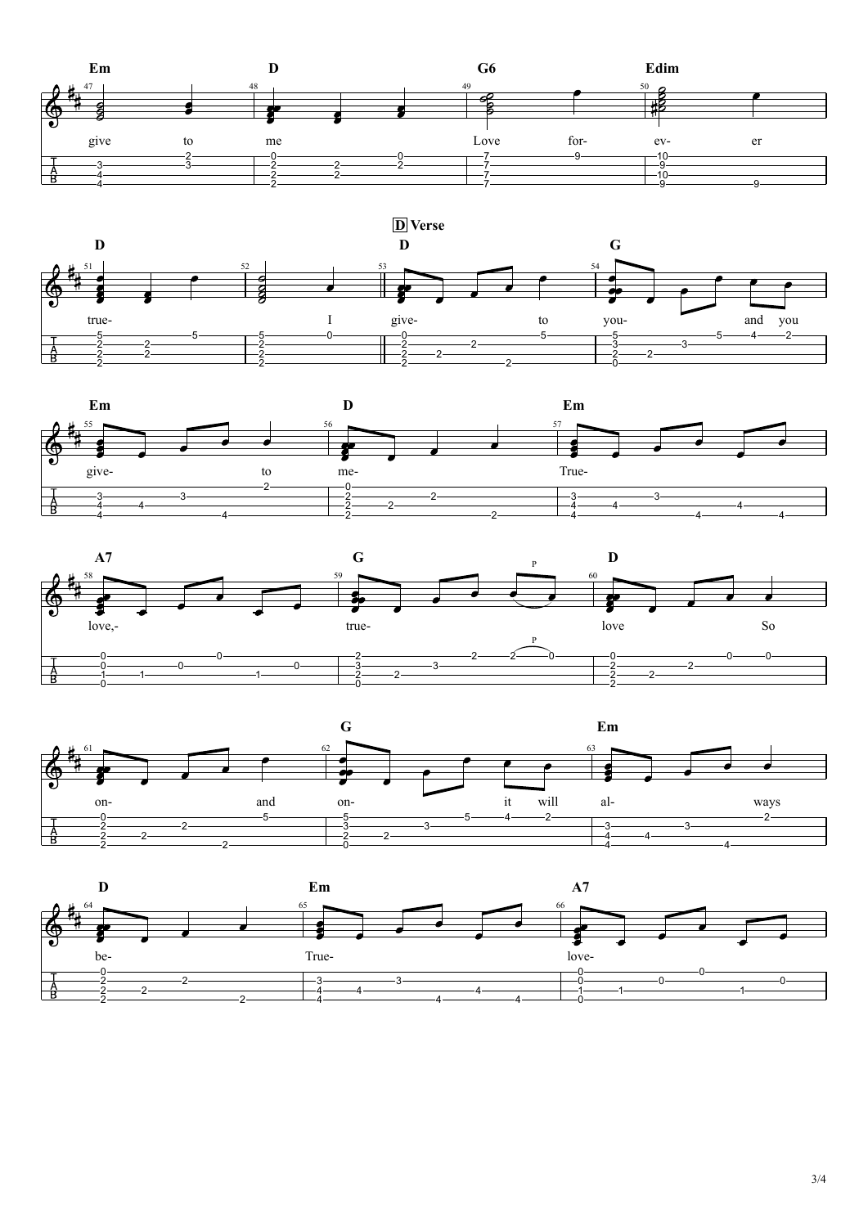